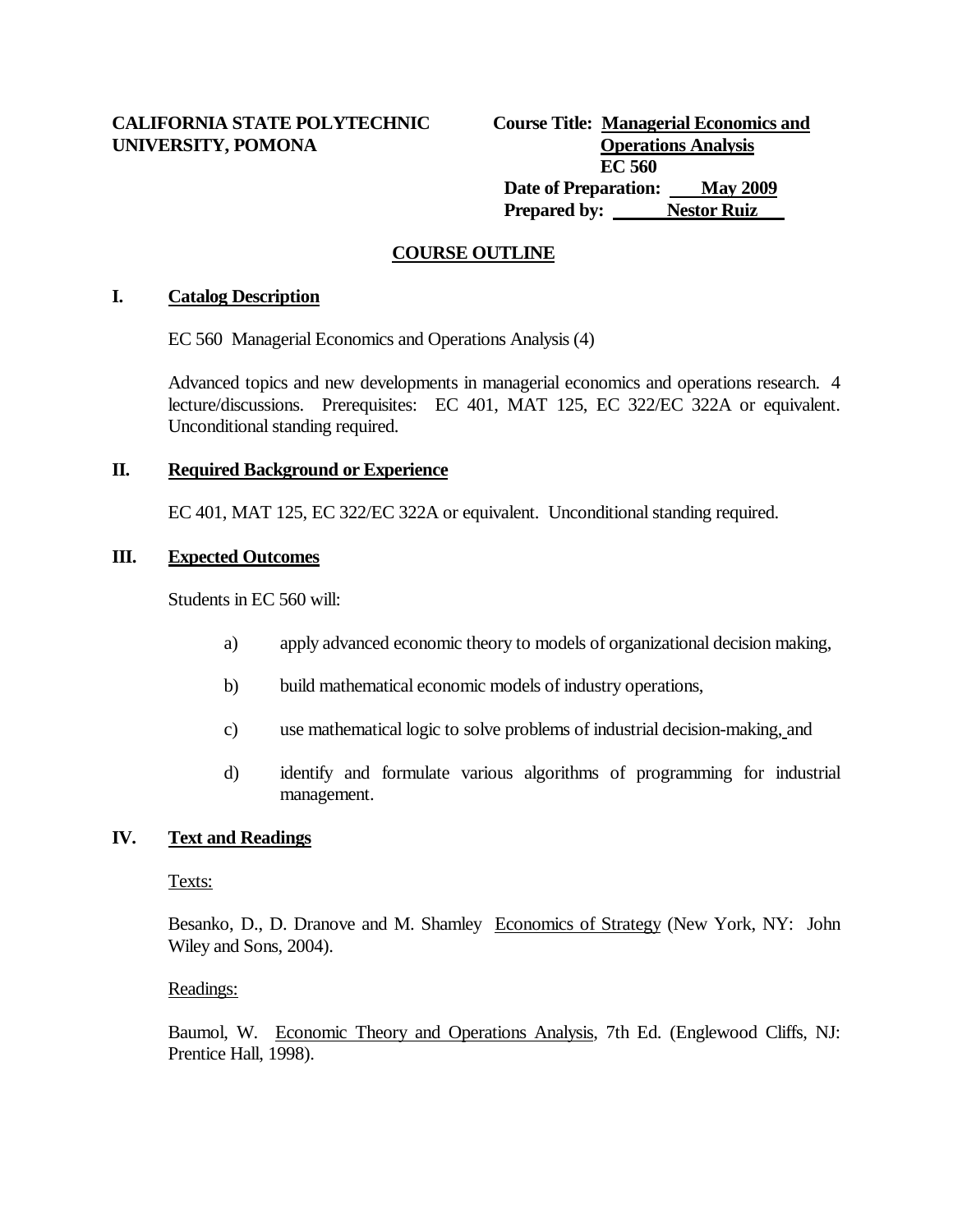# **CALIFORNIA STATE POLYTECHNIC** UNIVERSITY, POMONA

|                      | <b>Course Title: Managerial Economics and</b> |
|----------------------|-----------------------------------------------|
|                      | <b>Operations Analysis</b>                    |
|                      | EC 560                                        |
| Date of Preparation: | <b>May 2009</b>                               |
| <b>Prepared by:</b>  | <b>Nestor Ruiz</b>                            |

# **COURSE OUTLINE**

#### **I. Catalog Description**

EC 560 Managerial Economics and Operations Analysis (4)

Advanced topics and new developments in managerial economics and operations research. 4 lecture/discussions. Prerequisites: EC 401, MAT 125, EC 322/EC 322A or equivalent. Unconditional standing required.

#### **II. Required Background or Experience**

EC 401, MAT 125, EC 322/EC 322A or equivalent. Unconditional standing required.

### **III. Expected Outcomes**

Students in EC 560 will:

- a) apply advanced economic theory to models of organizational decision making,
- b) build mathematical economic models of industry operations,
- c) use mathematical logic to solve problems of industrial decision-making, and
- d) identify and formulate various algorithms of programming for industrial management.

### **IV. Text and Readings**

### Texts:

Besanko, D., D. Dranove and M. Shamley Economics of Strategy (New York, NY: John Wiley and Sons, 2004).

#### Readings:

Baumol, W. Economic Theory and Operations Analysis, 7th Ed. (Englewood Cliffs, NJ: Prentice Hall, 1998).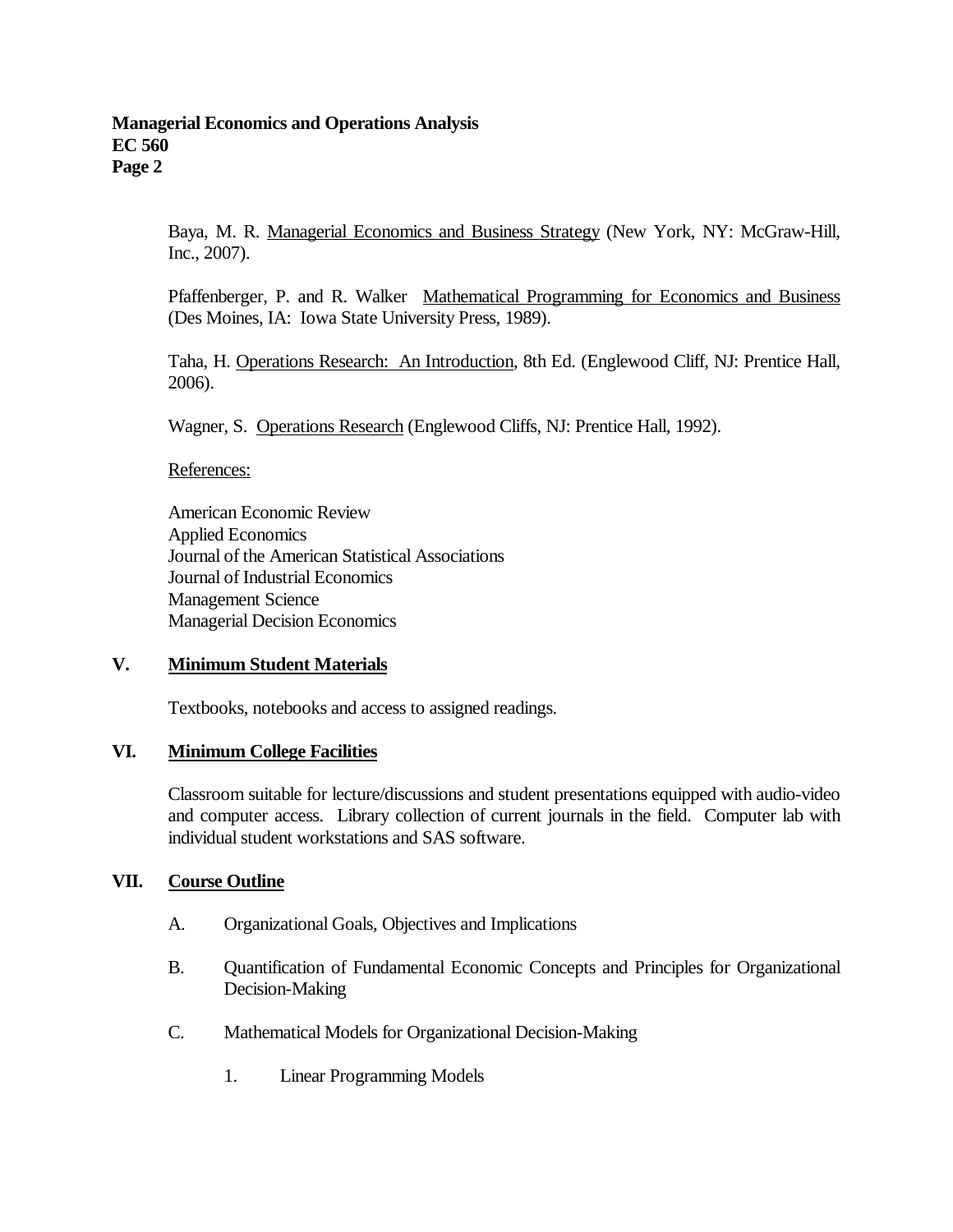Baya, M. R. Managerial Economics and Business Strategy (New York, NY: McGraw-Hill, Inc., 2007).

Pfaffenberger, P. and R. Walker Mathematical Programming for Economics and Business (Des Moines, IA: Iowa State University Press, 1989).

Taha, H. Operations Research: An Introduction, 8th Ed. (Englewood Cliff, NJ: Prentice Hall, 2006).

Wagner, S. Operations Research (Englewood Cliffs, NJ: Prentice Hall, 1992).

References:

American Economic Review Applied Economics Journal of the American Statistical Associations Journal of Industrial Economics Management Science Managerial Decision Economics

#### **V. Minimum Student Materials**

Textbooks, notebooks and access to assigned readings.

#### **VI. Minimum College Facilities**

Classroom suitable for lecture/discussions and student presentations equipped with audio-video and computer access. Library collection of current journals in the field. Computer lab with individual student workstations and SAS software.

#### **VII. Course Outline**

- A. Organizational Goals, Objectives and Implications
- B. Quantification of Fundamental Economic Concepts and Principles for Organizational Decision-Making
- C. Mathematical Models for Organizational Decision-Making
	- 1. Linear Programming Models